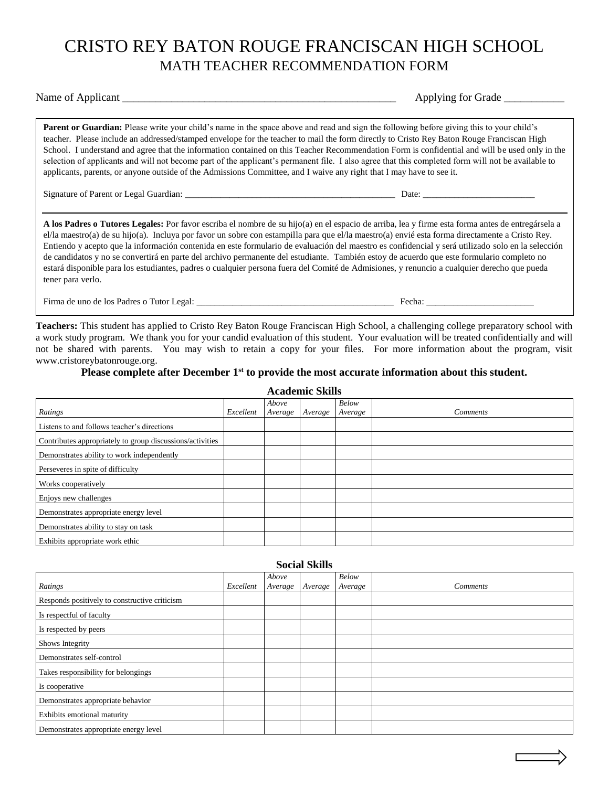# CRISTO REY BATON ROUGE FRANCISCAN HIGH SCHOOL MATH TEACHER RECOMMENDATION FORM

Name of Applicant \_\_\_\_\_\_\_\_\_\_\_\_\_\_\_\_\_\_\_\_\_\_\_\_\_\_\_\_\_\_\_\_\_\_\_\_\_\_\_\_\_\_\_\_\_\_\_\_\_\_ Applying for Grade \_\_\_\_\_\_\_\_\_\_\_

**Parent or Guardian:** Please write your child's name in the space above and read and sign the following before giving this to your child's teacher. Please include an addressed/stamped envelope for the teacher to mail the form directly to Cristo Rey Baton Rouge Franciscan High School. I understand and agree that the information contained on this Teacher Recommendation Form is confidential and will be used only in the selection of applicants and will not become part of the applicant's permanent file. I also agree that this completed form will not be available to applicants, parents, or anyone outside of the Admissions Committee, and I waive any right that I may have to see it.

Signature of Parent or Legal Guardian: \_\_\_\_\_\_\_\_\_\_\_\_\_\_\_\_\_\_\_\_\_\_\_\_\_\_\_\_\_\_\_\_\_\_\_\_\_\_\_\_\_\_\_\_\_\_\_ Date: \_\_\_\_\_\_\_\_\_\_\_\_\_\_\_\_\_\_\_\_\_\_\_\_\_

**A los Padres o Tutores Legales:** Por favor escriba el nombre de su hijo(a) en el espacio de arriba, lea y firme esta forma antes de entregársela a el/la maestro(a) de su hijo(a). Incluya por favor un sobre con estampilla para que el/la maestro(a) envié esta forma directamente a Cristo Rey. Entiendo y acepto que la información contenida en este formulario de evaluación del maestro es confidencial y será utilizado solo en la selección de candidatos y no se convertirá en parte del archivo permanente del estudiante. También estoy de acuerdo que este formulario completo no estará disponible para los estudiantes, padres o cualquier persona fuera del Comité de Admisiones, y renuncio a cualquier derecho que pueda tener para verlo.

Firma de uno de los Padres o Tutor Legal: \_\_\_\_\_\_\_\_\_\_\_\_\_\_\_\_\_\_\_\_\_\_\_\_\_\_\_\_\_\_\_\_\_\_\_\_\_\_\_\_\_\_\_\_ Fecha: \_\_\_\_\_\_\_\_\_\_\_\_\_\_\_\_\_\_\_\_\_\_\_\_

**Teachers:** This student has applied to Cristo Rey Baton Rouge Franciscan High School, a challenging college preparatory school with a work study program. We thank you for your candid evaluation of this student. Your evaluation will be treated confidentially and will not be shared with parents. You may wish to retain a copy for your files. For more information about the program, visit www.cristoreybatonrouge.org.

## **Please complete after December 1st to provide the most accurate information about this student.**

| <b>Academic Skills</b>                                    |           |                  |         |                  |                 |  |  |
|-----------------------------------------------------------|-----------|------------------|---------|------------------|-----------------|--|--|
| Ratings                                                   | Excellent | Above<br>Average | Average | Below<br>Average | <i>Comments</i> |  |  |
| Listens to and follows teacher's directions               |           |                  |         |                  |                 |  |  |
| Contributes appropriately to group discussions/activities |           |                  |         |                  |                 |  |  |
| Demonstrates ability to work independently                |           |                  |         |                  |                 |  |  |
| Perseveres in spite of difficulty                         |           |                  |         |                  |                 |  |  |
| Works cooperatively                                       |           |                  |         |                  |                 |  |  |
| Enjoys new challenges                                     |           |                  |         |                  |                 |  |  |
| Demonstrates appropriate energy level                     |           |                  |         |                  |                 |  |  |
| Demonstrates ability to stay on task                      |           |                  |         |                  |                 |  |  |
| Exhibits appropriate work ethic                           |           |                  |         |                  |                 |  |  |

| <b>Social Skills</b>                          |           |         |         |         |                 |  |
|-----------------------------------------------|-----------|---------|---------|---------|-----------------|--|
|                                               |           | Above   |         | Below   |                 |  |
| Ratings                                       | Excellent | Average | Average | Average | <i>Comments</i> |  |
| Responds positively to constructive criticism |           |         |         |         |                 |  |
| Is respectful of faculty                      |           |         |         |         |                 |  |
| Is respected by peers                         |           |         |         |         |                 |  |
| Shows Integrity                               |           |         |         |         |                 |  |
| Demonstrates self-control                     |           |         |         |         |                 |  |
| Takes responsibility for belongings           |           |         |         |         |                 |  |
| Is cooperative                                |           |         |         |         |                 |  |
| Demonstrates appropriate behavior             |           |         |         |         |                 |  |
| Exhibits emotional maturity                   |           |         |         |         |                 |  |
| Demonstrates appropriate energy level         |           |         |         |         |                 |  |

### **Social Skills**